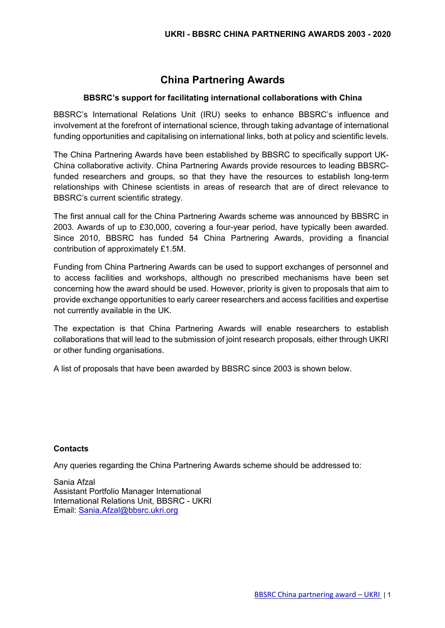# **China Partnering Awards**

### **BBSRC's support for facilitating international collaborations with China**

BBSRC's International Relations Unit (IRU) seeks to enhance BBSRC's influence and involvement at the forefront of international science, through taking advantage of international funding opportunities and capitalising on international links, both at policy and scientific levels.

The China Partnering Awards have been established by BBSRC to specifically support UK-China collaborative activity. China Partnering Awards provide resources to leading BBSRCfunded researchers and groups, so that they have the resources to establish long-term relationships with Chinese scientists in areas of research that are of direct relevance to BBSRC's current scientific strategy.

The first annual call for the China Partnering Awards scheme was announced by BBSRC in 2003. Awards of up to £30,000, covering a four-year period, have typically been awarded. Since 2010, BBSRC has funded 54 China Partnering Awards, providing a financial contribution of approximately £1.5M.

Funding from China Partnering Awards can be used to support exchanges of personnel and to access facilities and workshops, although no prescribed mechanisms have been set concerning how the award should be used. However, priority is given to proposals that aim to provide exchange opportunities to early career researchers and access facilities and expertise not currently available in the UK.

The expectation is that China Partnering Awards will enable researchers to establish collaborations that will lead to the submission of joint research proposals, either through UKRI or other funding organisations.

A list of proposals that have been awarded by BBSRC since 2003 is shown below.

### **Contacts**

Any queries regarding the China Partnering Awards scheme should be addressed to:

Sania Afzal Assistant Portfolio Manager International International Relations Unit, BBSRC - UKRI Email: [Sania.Afzal@bbsrc.ukri.org](mailto:Sania.Afzal@bbsrc.ukri.org)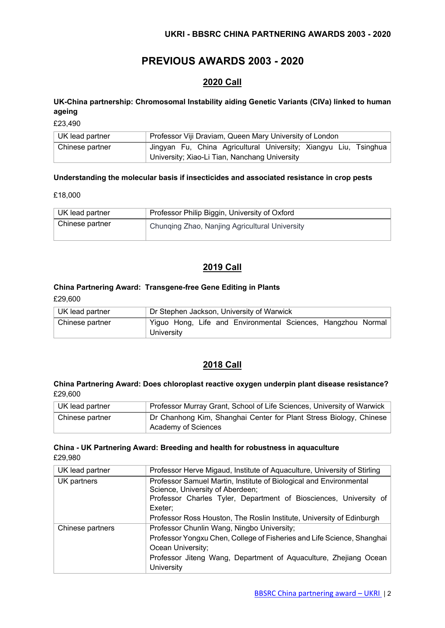# **PREVIOUS AWARDS 2003 - 2020**

# **2020 Call**

# **UK-China partnership: Chromosomal Instability aiding Genetic Variants (CIVa) linked to human ageing**

£23,490

| UK lead partner | Professor Viji Draviam, Queen Mary University of London          |
|-----------------|------------------------------------------------------------------|
| Chinese partner | Jingyan Fu, China Agricultural University; Xiangyu Liu, Tsinghua |
|                 | University; Xiao-Li Tian, Nanchang University                    |

#### **Understanding the molecular basis if insecticides and associated resistance in crop pests**

£18,000

| ∣ UK lead partner | Professor Philip Biggin, University of Oxford  |
|-------------------|------------------------------------------------|
| Chinese partner   | Chunqing Zhao, Nanjing Agricultural University |

# **2019 Call**

# **China Partnering Award: Transgene-free Gene Editing in Plants**

£29,600

| UK lead partner |            |  | Dr Stephen Jackson, University of Warwick                    |  |  |
|-----------------|------------|--|--------------------------------------------------------------|--|--|
| Chinese partner |            |  | Yiguo Hong, Life and Environmental Sciences, Hangzhou Normal |  |  |
|                 | University |  |                                                              |  |  |

# **2018 Call**

#### **China Partnering Award: Does chloroplast reactive oxygen underpin plant disease resistance?** £29,600

| UK lead partner | Professor Murray Grant, School of Life Sciences, University of Warwick                    |
|-----------------|-------------------------------------------------------------------------------------------|
| Chinese partner | Dr Chanhong Kim, Shanghai Center for Plant Stress Biology, Chinese<br>Academy of Sciences |

#### **China - UK Partnering Award: Breeding and health for robustness in aquaculture** £29,980

| UK lead partner  | Professor Herve Migaud, Institute of Aquaculture, University of Stirling                                                                                                                                                                                        |
|------------------|-----------------------------------------------------------------------------------------------------------------------------------------------------------------------------------------------------------------------------------------------------------------|
| UK partners      | Professor Samuel Martin, Institute of Biological and Environmental<br>Science, University of Aberdeen;<br>Professor Charles Tyler, Department of Biosciences, University of<br>Exeter;<br>Professor Ross Houston, The Roslin Institute, University of Edinburgh |
| Chinese partners | Professor Chunlin Wang, Ningbo University;<br>Professor Yongxu Chen, College of Fisheries and Life Science, Shanghai<br>Ocean University;<br>Professor Jiteng Wang, Department of Aquaculture, Zhejiang Ocean<br>University                                     |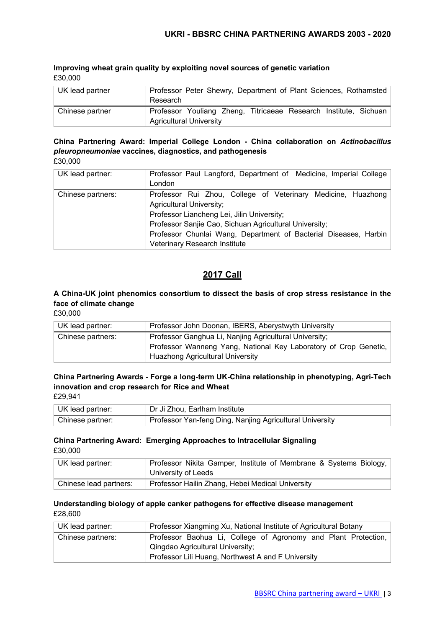#### **Improving wheat grain quality by exploiting novel sources of genetic variation** £30,000

| UK lead partner | Professor Peter Shewry, Department of Plant Sciences, Rothamsted<br>Research |
|-----------------|------------------------------------------------------------------------------|
| Chinese partner | Professor Youliang Zheng, Titricaeae Research Institute, Sichuan             |
|                 | <b>Agricultural University</b>                                               |

#### **China Partnering Award: Imperial College London - China collaboration on** *Actinobacillus pleuropneumoniae* **vaccines, diagnostics, and pathogenesis** £30,000

| UK lead partner:  | Professor Paul Langford, Department of Medicine, Imperial College<br>London                                                                                                                                                                                                                                  |
|-------------------|--------------------------------------------------------------------------------------------------------------------------------------------------------------------------------------------------------------------------------------------------------------------------------------------------------------|
| Chinese partners: | Professor Rui Zhou, College of Veterinary Medicine, Huazhong<br><b>Agricultural University;</b><br>Professor Liancheng Lei, Jilin University;<br>Professor Sanjie Cao, Sichuan Agricultural University;<br>Professor Chunlai Wang, Department of Bacterial Diseases, Harbin<br>Veterinary Research Institute |

# **2017 Call**

# **A China-UK joint phenomics consortium to dissect the basis of crop stress resistance in the face of climate change**

£30,000

| UK lead partner:  | Professor John Doonan, IBERS, Aberystwyth University                                                                                                                  |
|-------------------|-----------------------------------------------------------------------------------------------------------------------------------------------------------------------|
| Chinese partners: | Professor Ganghua Li, Nanjing Agricultural University;<br>Professor Wanneng Yang, National Key Laboratory of Crop Genetic,<br><b>Huazhong Agricultural University</b> |

# **China Partnering Awards - Forge a long-term UK-China relationship in phenotyping, Agri-Tech innovation and crop research for Rice and Wheat**

£29,941

| UK lead partner: | Dr Ji Zhou, Earlham Institute                            |
|------------------|----------------------------------------------------------|
| Chinese partner: | Professor Yan-feng Ding, Nanjing Agricultural University |

# **China Partnering Award: Emerging Approaches to Intracellular Signaling** £30,000

| UK lead partner:       | Professor Nikita Gamper, Institute of Membrane & Systems Biology, |
|------------------------|-------------------------------------------------------------------|
|                        | University of Leeds                                               |
| Chinese lead partners: | Professor Hailin Zhang, Hebei Medical University                  |

#### **Understanding biology of apple canker pathogens for effective disease management** £28,600

| UK lead partner:  | Professor Xiangming Xu, National Institute of Agricultural Botany |
|-------------------|-------------------------------------------------------------------|
| Chinese partners: | Professor Baohua Li, College of Agronomy and Plant Protection,    |
|                   | Qingdao Agricultural University;                                  |
|                   | Professor Lili Huang, Northwest A and F University                |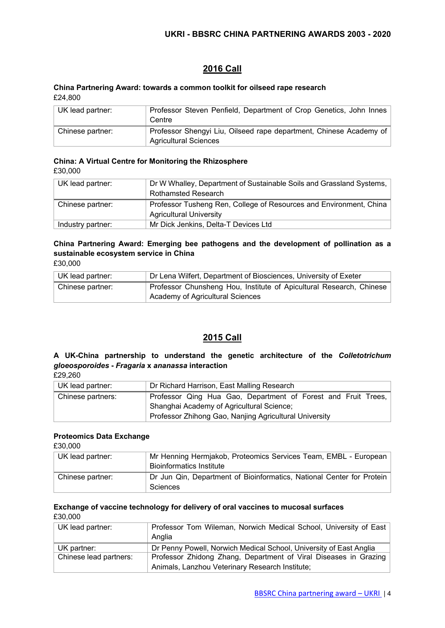# **2016 Call**

#### **China Partnering Award: towards a common toolkit for oilseed rape research** £24,800

| UK lead partner: | Professor Steven Penfield, Department of Crop Genetics, John Innes<br>Centre                       |
|------------------|----------------------------------------------------------------------------------------------------|
| Chinese partner: | Professor Shengyi Liu, Oilseed rape department, Chinese Academy of<br><b>Agricultural Sciences</b> |

# **China: A Virtual Centre for Monitoring the Rhizosphere**

£30,000

| UK lead partner:  | Dr W Whalley, Department of Sustainable Soils and Grassland Systems,<br><b>Rothamsted Research</b>   |
|-------------------|------------------------------------------------------------------------------------------------------|
| Chinese partner:  | Professor Tusheng Ren, College of Resources and Environment, China<br><b>Agricultural University</b> |
| Industry partner: | Mr Dick Jenkins, Delta-T Devices Ltd                                                                 |

# **China Partnering Award: Emerging bee pathogens and the development of pollination as a sustainable ecosystem service in China**

| £30,000 |  |
|---------|--|
|---------|--|

| UK lead partner: | Dr Lena Wilfert, Department of Biosciences, University of Exeter    |  |  |
|------------------|---------------------------------------------------------------------|--|--|
| Chinese partner: | Professor Chunsheng Hou, Institute of Apicultural Research, Chinese |  |  |
|                  | Academy of Agricultural Sciences                                    |  |  |

# **2015 Call**

# **A UK-China partnership to understand the genetic architecture of the** *Colletotrichum gloeosporoides* **-** *Fragaria* **x** *ananassa* **interaction**

£29,260

| UK lead partner:  | Dr Richard Harrison, East Malling Research                                                                                                                           |
|-------------------|----------------------------------------------------------------------------------------------------------------------------------------------------------------------|
| Chinese partners: | Professor Qing Hua Gao, Department of Forest and Fruit Trees,<br>Shanghai Academy of Agricultural Science;<br>Professor Zhihong Gao, Nanjing Agricultural University |

### **Proteomics Data Exchange**

£30,000

| UK lead partner: | Mr Henning Hermjakob, Proteomics Services Team, EMBL - European<br><b>Bioinformatics Institute</b> |
|------------------|----------------------------------------------------------------------------------------------------|
| Chinese partner: | Dr Jun Qin, Department of Bioinformatics, National Center for Protein<br>Sciences                  |

#### **Exchange of vaccine technology for delivery of oral vaccines to mucosal surfaces**  £30,000

UK lead partner: **Professor Tom Wileman, Norwich Medical School, University of East** Anglia UK partner: **Dr Penny Powell, Norwich Medical School, University of East Anglia** Chinese lead partners: | Professor Zhidong Zhang, Department of Viral Diseases in Grazing Animals, Lanzhou Veterinary Research Institute;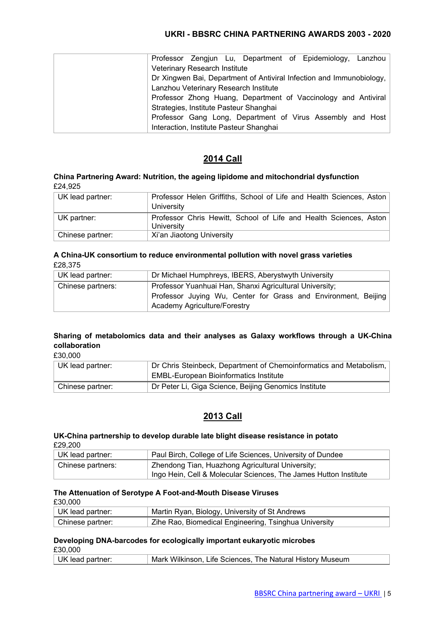|                               |  |                                         | Professor Zengjun Lu, Department of Epidemiology, Lanzhou            |  |
|-------------------------------|--|-----------------------------------------|----------------------------------------------------------------------|--|
| Veterinary Research Institute |  |                                         |                                                                      |  |
|                               |  |                                         | Dr Xingwen Bai, Department of Antiviral Infection and Immunobiology, |  |
|                               |  | Lanzhou Veterinary Research Institute   |                                                                      |  |
|                               |  |                                         | Professor Zhong Huang, Department of Vaccinology and Antiviral       |  |
|                               |  | Strategies, Institute Pasteur Shanghai  |                                                                      |  |
|                               |  |                                         | Professor Gang Long, Department of Virus Assembly and Host           |  |
|                               |  | Interaction, Institute Pasteur Shanghai |                                                                      |  |

# **2014 Call**

#### **China Partnering Award: Nutrition, the ageing lipidome and mitochondrial dysfunction** £24,925

| UK lead partner: | Professor Helen Griffiths, School of Life and Health Sciences, Aston |
|------------------|----------------------------------------------------------------------|
|                  | University                                                           |
| UK partner:      | Professor Chris Hewitt, School of Life and Health Sciences, Aston    |
|                  | University                                                           |
| Chinese partner: | Xi'an Jiaotong University                                            |

#### **A China-UK consortium to reduce environmental pollution with novel grass varieties** £28,375

| UK lead partner:  | Dr Michael Humphreys, IBERS, Aberystwyth University                                                                                                              |  |  |
|-------------------|------------------------------------------------------------------------------------------------------------------------------------------------------------------|--|--|
| Chinese partners: | Professor Yuanhuai Han, Shanxi Agricultural University;<br>Professor Juying Wu, Center for Grass and Environment, Beijing<br><b>Academy Agriculture/Forestry</b> |  |  |

# **Sharing of metabolomics data and their analyses as Galaxy workflows through a UK-China collaboration**

£30,000

| UK lead partner: | Dr Chris Steinbeck, Department of Chemoinformatics and Metabolism, |
|------------------|--------------------------------------------------------------------|
|                  | <b>EMBL-European Bioinformatics Institute</b>                      |
| Chinese partner: | Dr Peter Li, Giga Science, Beijing Genomics Institute              |

# **2013 Call**

#### **UK-China partnership to develop durable late blight disease resistance in potato** £29,200

| ∣ UK lead partner: | Paul Birch, College of Life Sciences, University of Dundee       |  |
|--------------------|------------------------------------------------------------------|--|
| Chinese partners:  | Zhendong Tian, Huazhong Agricultural University;                 |  |
|                    | Ingo Hein, Cell & Molecular Sciences, The James Hutton Institute |  |

#### **The Attenuation of Serotype A Foot-and-Mouth Disease Viruses**

| £30,000 |
|---------|
|---------|

| UK lead partner: | Martin Ryan, Biology, University of St Andrews        |
|------------------|-------------------------------------------------------|
| Chinese partner: | Zihe Rao, Biomedical Engineering, Tsinghua University |

#### **Developing DNA-barcodes for ecologically important eukaryotic microbes** £30,000

| LJU.UUU                  |                                                           |
|--------------------------|-----------------------------------------------------------|
| $\vert$ UK lead partner: | Mark Wilkinson, Life Sciences, The Natural History Museum |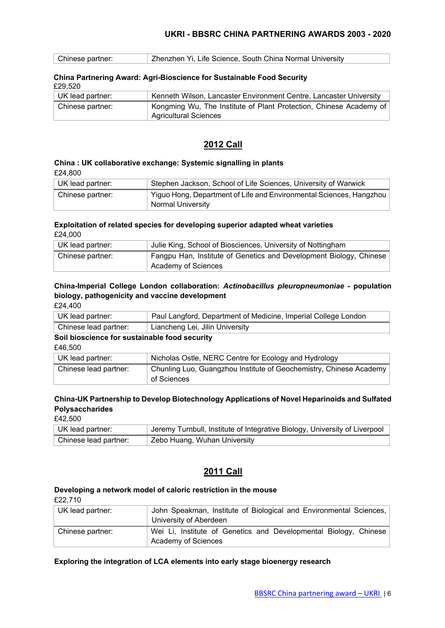| Chinese partner: | Zhenzhen Yi, Life Science, South China Normal University |  |
|------------------|----------------------------------------------------------|--|
|                  |                                                          |  |

#### **China Partnering Award: Agri-Bioscience for Sustainable Food Security** £29,520

| 2222             |                                                                                                    |
|------------------|----------------------------------------------------------------------------------------------------|
| UK lead partner: | Kenneth Wilson, Lancaster Environment Centre, Lancaster University                                 |
| Chinese partner: | Kongming Wu, The Institute of Plant Protection, Chinese Academy of<br><b>Agricultural Sciences</b> |

# **2012 Call**

# **China : UK collaborative exchange: Systemic signalling in plants** £24,800

| UK lead partner: | Stephen Jackson, School of Life Sciences, University of Warwick     |
|------------------|---------------------------------------------------------------------|
| Chinese partner: | Yiguo Hong, Department of Life and Environmental Sciences, Hangzhou |
|                  | <b>Normal University</b>                                            |

#### **Exploitation of related species for developing superior adapted wheat varieties** £24,000

| UK lead partner: | Julie King, School of Biosciences, University of Nottingham                               |
|------------------|-------------------------------------------------------------------------------------------|
| Chinese partner: | Fangpu Han, Institute of Genetics and Development Biology, Chinese<br>Academy of Sciences |

### **China-Imperial College London collaboration:** *Actinobacillus pleuropneumoniae* **- population biology, pathogenicity and vaccine development**

| UK lead partner:                              | Paul Langford, Department of Medicine, Imperial College London     |
|-----------------------------------------------|--------------------------------------------------------------------|
| Chinese lead partner:                         | Liancheng Lei, Jilin University                                    |
| Soil bioscience for sustainable food security |                                                                    |
| £46,500                                       |                                                                    |
| UK lead partner:                              | Nicholas Ostle, NERC Centre for Ecology and Hydrology              |
| Chinese lead partner:                         | Chunling Luo, Guangzhou Institute of Geochemistry, Chinese Academy |
|                                               | of Sciences                                                        |

# **China-UK Partnership to Develop Biotechnology Applications of Novel Heparinoids and Sulfated Polysaccharides**

£42,500

| UK lead partner:      | Jeremy Turnbull, Institute of Integrative Biology, University of Liverpool |
|-----------------------|----------------------------------------------------------------------------|
| Chinese lead partner: | Zebo Huang, Wuhan University                                               |

# **2011 Call**

#### **Developing a network model of caloric restriction in the mouse**

£22,710

| UK lead partner: | John Speakman, Institute of Biological and Environmental Sciences,<br>University of Aberdeen |
|------------------|----------------------------------------------------------------------------------------------|
| Chinese partner: | Wei Li, Institute of Genetics and Developmental Biology, Chinese<br>Academy of Sciences      |

#### **Exploring the integration of LCA elements into early stage bioenergy research**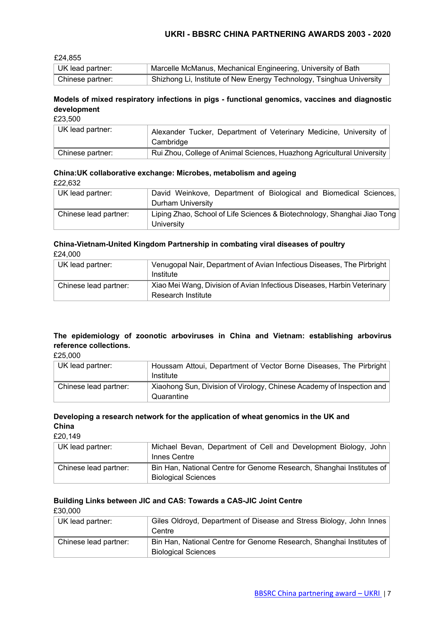£24,855

| UK lead partner: | Marcelle McManus, Mechanical Engineering, University of Bath           |
|------------------|------------------------------------------------------------------------|
| Chinese partner: | , Shizhong Li, Institute of New Energy Technology, Tsinghua University |

# **Models of mixed respiratory infections in pigs - functional genomics, vaccines and diagnostic development**

£23,500

| UK lead partner: | Alexander Tucker, Department of Veterinary Medicine, University of<br>Cambridge |
|------------------|---------------------------------------------------------------------------------|
| Chinese partner: | Rui Zhou, College of Animal Sciences, Huazhong Agricultural University          |

# **China:UK collaborative exchange: Microbes, metabolism and ageing**

| UK lead partner:      | David Weinkove, Department of Biological and Biomedical Sciences,<br>Durham University |
|-----------------------|----------------------------------------------------------------------------------------|
| Chinese lead partner: | Liping Zhao, School of Life Sciences & Biotechnology, Shanghai Jiao Tong<br>University |

#### **China-Vietnam-United Kingdom Partnership in combating viral diseases of poultry** £24,000

| UK lead partner:      | Venugopal Nair, Department of Avian Infectious Diseases, The Pirbright<br>Institute           |
|-----------------------|-----------------------------------------------------------------------------------------------|
| Chinese lead partner: | Xiao Mei Wang, Division of Avian Infectious Diseases, Harbin Veterinary<br>Research Institute |

# **The epidemiology of zoonotic arboviruses in China and Vietnam: establishing arbovirus reference collections.**

£25,000

| UK lead partner:      | Houssam Attoui, Department of Vector Borne Diseases, The Pirbright<br>Institute     |
|-----------------------|-------------------------------------------------------------------------------------|
| Chinese lead partner: | Xiaohong Sun, Division of Virology, Chinese Academy of Inspection and<br>Quarantine |

# **Developing a research network for the application of wheat genomics in the UK and China**

£20,149

| UK lead partner:      | Michael Bevan, Department of Cell and Development Biology, John<br>Innes Centre                    |
|-----------------------|----------------------------------------------------------------------------------------------------|
| Chinese lead partner: | Bin Han, National Centre for Genome Research, Shanghai Institutes of<br><b>Biological Sciences</b> |

# **Building Links between JIC and CAS: Towards a CAS-JIC Joint Centre**

£30,000

| UK lead partner:      | Giles Oldroyd, Department of Disease and Stress Biology, John Innes<br>Centre                      |
|-----------------------|----------------------------------------------------------------------------------------------------|
| Chinese lead partner: | Bin Han, National Centre for Genome Research, Shanghai Institutes of<br><b>Biological Sciences</b> |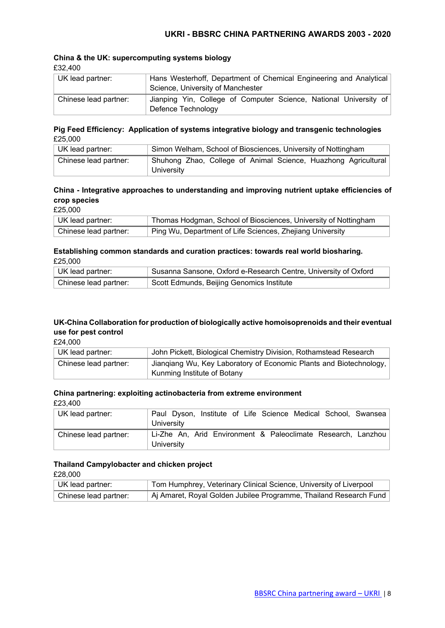#### **China & the UK: supercomputing systems biology** £32,400

| UK lead partner:      | Hans Westerhoff, Department of Chemical Engineering and Analytical<br>Science, University of Manchester |
|-----------------------|---------------------------------------------------------------------------------------------------------|
| Chinese lead partner: | Jianping Yin, College of Computer Science, National University of<br>Defence Technology                 |

#### **Pig Feed Efficiency: Application of systems integrative biology and transgenic technologies** £25,000

| UK lead partner:      | Simon Welham, School of Biosciences, University of Nottingham  |
|-----------------------|----------------------------------------------------------------|
| Chinese lead partner: | Shuhong Zhao, College of Animal Science, Huazhong Agricultural |
|                       | University                                                     |

# **China - Integrative approaches to understanding and improving nutrient uptake efficiencies of crop species**

£25,000

| UK lead partner:      | Thomas Hodgman, School of Biosciences, University of Nottingham |
|-----------------------|-----------------------------------------------------------------|
| Chinese lead partner: | Ping Wu, Department of Life Sciences, Zhejiang University       |

### **Establishing common standards and curation practices: towards real world biosharing.** £25,000

| UK lead partner:      | Susanna Sansone, Oxford e-Research Centre, University of Oxford |
|-----------------------|-----------------------------------------------------------------|
| Chinese lead partner: | Scott Edmunds, Beijing Genomics Institute                       |

### **UK-China Collaboration for production of biologically active homoisoprenoids and their eventual use for pest control**

£24,000

| UK lead partner:      | John Pickett, Biological Chemistry Division, Rothamstead Research  |
|-----------------------|--------------------------------------------------------------------|
| Chinese lead partner: | Jiangiang Wu, Key Laboratory of Economic Plants and Biotechnology, |
|                       | Kunming Institute of Botany                                        |

### **China partnering: exploiting actinobacteria from extreme environment**

£23,400

| UK lead partner:      | Paul Dyson, Institute of Life Science Medical School, Swansea<br>University |
|-----------------------|-----------------------------------------------------------------------------|
| Chinese lead partner: | Li-Zhe An, Arid Environment & Paleoclimate Research, Lanzhou<br>University  |

### **Thailand Campylobacter and chicken project**

£28,000

| UK lead partner:      | Tom Humphrey, Veterinary Clinical Science, University of Liverpool |
|-----------------------|--------------------------------------------------------------------|
| Chinese lead partner: | Aj Amaret, Royal Golden Jubilee Programme, Thailand Research Fund  |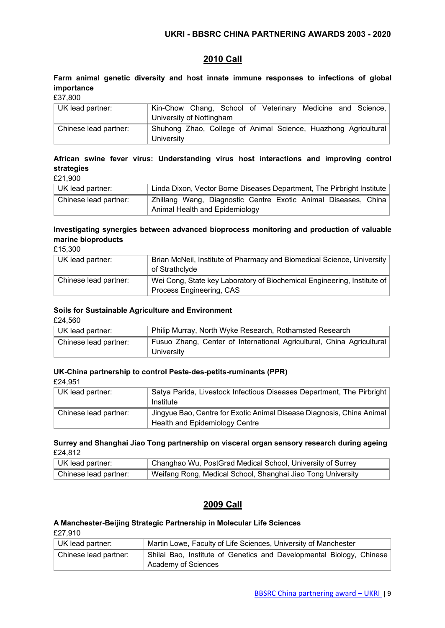# **2010 Call**

**Farm animal genetic diversity and host innate immune responses to infections of global importance**

£37,800

| UK lead partner:      | Kin-Chow Chang, School of Veterinary Medicine and Science,     |
|-----------------------|----------------------------------------------------------------|
|                       | University of Nottingham                                       |
| Chinese lead partner: | Shuhong Zhao, College of Animal Science, Huazhong Agricultural |
|                       | University                                                     |

# **African swine fever virus: Understanding virus host interactions and improving control strategies**

£21,900

| UK lead partner:      | Linda Dixon, Vector Borne Diseases Department, The Pirbright Institute |
|-----------------------|------------------------------------------------------------------------|
| Chinese lead partner: | Zhillang Wang, Diagnostic Centre Exotic Animal Diseases, China         |
|                       | Animal Health and Epidemiology                                         |

# **Investigating synergies between advanced bioprocess monitoring and production of valuable marine bioproducts**

£15,300

| UK lead partner:      | Brian McNeil, Institute of Pharmacy and Biomedical Science, University<br>of Strathclyde            |
|-----------------------|-----------------------------------------------------------------------------------------------------|
| Chinese lead partner: | Wei Cong, State key Laboratory of Biochemical Engineering, Institute of<br>Process Engineering, CAS |

# **Soils for Sustainable Agriculture and Environment**

£24,560

| UK lead partner:      | Philip Murray, North Wyke Research, Rothamsted Research                             |
|-----------------------|-------------------------------------------------------------------------------------|
| Chinese lead partner: | Fusuo Zhang, Center of International Agricultural, China Agricultural<br>University |

### **UK-China partnership to control Peste-des-petits-ruminants (PPR)**

£24,951

| UK lead partner:      | Satya Parida, Livestock Infectious Diseases Department, The Pirbright<br>Institute                      |
|-----------------------|---------------------------------------------------------------------------------------------------------|
| Chinese lead partner: | Jingyue Bao, Centre for Exotic Animal Disease Diagnosis, China Animal<br>Health and Epidemiology Centre |

### **Surrey and Shanghai Jiao Tong partnership on visceral organ sensory research during ageing** £24,812

| UK lead partner:      | Changhao Wu, PostGrad Medical School, University of Surrey  |
|-----------------------|-------------------------------------------------------------|
| Chinese lead partner: | Weifang Rong, Medical School, Shanghai Jiao Tong University |

# **2009 Call**

### **A Manchester-Beijing Strategic Partnership in Molecular Life Sciences**

£27,910

| UK lead partner:      | Martin Lowe, Faculty of Life Sciences, University of Manchester      |
|-----------------------|----------------------------------------------------------------------|
| Chinese lead partner: | Shilai Bao, Institute of Genetics and Developmental Biology, Chinese |
|                       | Academy of Sciences                                                  |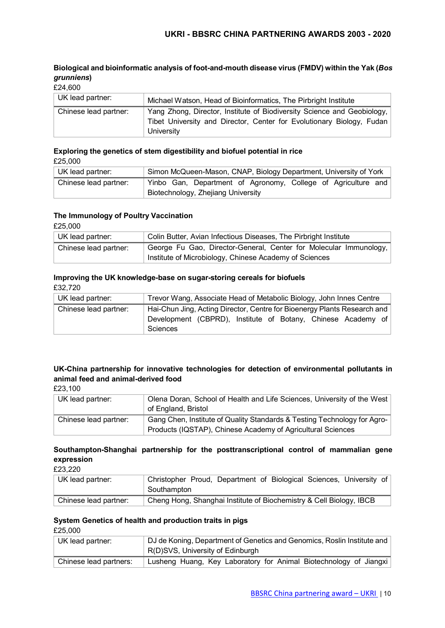# **Biological and bioinformatic analysis of foot-and-mouth disease virus (FMDV) within the Yak (***Bos grunniens***)**

| £24,600 |  |
|---------|--|

| UK lead partner:      | Michael Watson, Head of Bioinformatics, The Pirbright Institute                                                                                                |
|-----------------------|----------------------------------------------------------------------------------------------------------------------------------------------------------------|
| Chinese lead partner: | Yang Zhong, Director, Institute of Biodiversity Science and Geobiology,<br>Tibet University and Director, Center for Evolutionary Biology, Fudan<br>University |

#### **Exploring the genetics of stem digestibility and biofuel potential in rice** £25,000

| UK lead partner:      | Simon McQueen-Mason, CNAP, Biology Department, University of York |
|-----------------------|-------------------------------------------------------------------|
| Chinese lead partner: | Yinbo Gan, Department of Agronomy, College of Agriculture and     |
|                       | Biotechnology, Zhejiang University                                |

#### **The Immunology of Poultry Vaccination**

£25,000

| UK lead partner:      | Colin Butter, Avian Infectious Diseases, The Pirbright Institute  |
|-----------------------|-------------------------------------------------------------------|
| Chinese lead partner: | George Fu Gao, Director-General, Center for Molecular Immunology, |
|                       | Institute of Microbiology, Chinese Academy of Sciences            |

# **Improving the UK knowledge-base on sugar-storing cereals for biofuels**

£32,720

| UK lead partner:      | Trevor Wang, Associate Head of Metabolic Biology, John Innes Centre                                                                                         |  |
|-----------------------|-------------------------------------------------------------------------------------------------------------------------------------------------------------|--|
| Chinese lead partner: | Hai-Chun Jing, Acting Director, Centre for Bioenergy Plants Research and<br>Development (CBPRD), Institute of Botany, Chinese Academy of<br><b>Sciences</b> |  |

# **UK-China partnership for innovative technologies for detection of environmental pollutants in animal feed and animal-derived food**

£23,100

| UK lead partner:      | Olena Doran, School of Health and Life Sciences, University of the West<br>of England, Bristol                                          |
|-----------------------|-----------------------------------------------------------------------------------------------------------------------------------------|
| Chinese lead partner: | Gang Chen, Institute of Quality Standards & Testing Technology for Agro-<br>Products (IQSTAP), Chinese Academy of Agricultural Sciences |

# **Southampton-Shanghai partnership for the posttranscriptional control of mammalian gene expression**

£23,220

| UK lead partner:      | Christopher Proud, Department of Biological Sciences, University of<br>Southampton |
|-----------------------|------------------------------------------------------------------------------------|
| Chinese lead partner: | Cheng Hong, Shanghai Institute of Biochemistry & Cell Biology, IBCB                |

# **System Genetics of health and production traits in pigs**

£25,000

| UK lead partner:       | DJ de Koning, Department of Genetics and Genomics, Roslin Institute and<br>R(D)SVS, University of Edinburgh |
|------------------------|-------------------------------------------------------------------------------------------------------------|
| Chinese lead partners: | Lusheng Huang, Key Laboratory for Animal Biotechnology of Jiangxi                                           |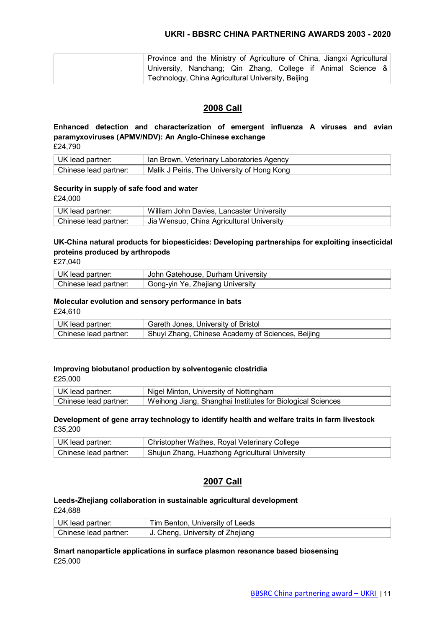|  | Province and the Ministry of Agriculture of China, Jiangxi Agricultural   |  |  |  |  |
|--|---------------------------------------------------------------------------|--|--|--|--|
|  | <sup>⊥</sup> University, Nanchang; Qin Zhang, College if Animal Science & |  |  |  |  |
|  | Technology, China Agricultural University, Beijing                        |  |  |  |  |

# **2008 Call**

# **Enhanced detection and characterization of emergent influenza A viruses and avian paramyxoviruses (APMV/NDV): An Anglo-Chinese exchange**

£24,790

| UK lead partner:      | Ian Brown, Veterinary Laboratories Agency   |
|-----------------------|---------------------------------------------|
| Chinese lead partner: | Malik J Peiris, The University of Hong Kong |

### **Security in supply of safe food and water**

£24,000

| UK lead partner:        | William John Davies, Lancaster University |
|-------------------------|-------------------------------------------|
| ∣ Chinese lead partner: | Jia Wensuo, China Agricultural University |

# **UK-China natural products for biopesticides: Developing partnerships for exploiting insecticidal proteins produced by arthropods**

£27,040

| UK lead partner:      | John Gatehouse, Durham University |
|-----------------------|-----------------------------------|
| Chinese lead partner: | Gong-yin Ye, Zhejiang University  |

# **Molecular evolution and sensory performance in bats**

£24,610

| UK lead partner:      | Gareth Jones, University of Bristol               |
|-----------------------|---------------------------------------------------|
| Chinese lead partner: | Shuyi Zhang, Chinese Academy of Sciences, Beijing |

### **Improving biobutanol production by solventogenic clostridia**

£25,000

| UK lead partner:      | Nigel Minton, University of Nottingham                     |
|-----------------------|------------------------------------------------------------|
| Chinese lead partner: | Weihong Jiang, Shanghai Institutes for Biological Sciences |

#### **Development of gene array technology to identify health and welfare traits in farm livestock** £35,200

| UK lead partner:      | Christopher Wathes, Royal Veterinary College   |
|-----------------------|------------------------------------------------|
| Chinese lead partner: | Shujun Zhang, Huazhong Agricultural University |

### **2007 Call**

# **Leeds-Zhejiang collaboration in sustainable agricultural development**

£24,688

| UK lead partner:      | Tim Benton, University of Leeds    |
|-----------------------|------------------------------------|
| Chinese lead partner: | ↓ J. Cheng, University of Zhejiang |

### **Smart nanoparticle applications in surface plasmon resonance based biosensing** £25,000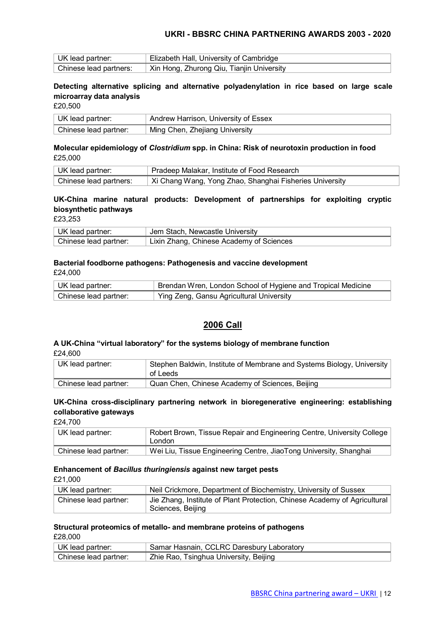| UK lead partner:       | Elizabeth Hall, University of Cambridge   |
|------------------------|-------------------------------------------|
| Chinese lead partners: | Xin Hong, Zhurong Qiu, Tianjin University |

### **Detecting alternative splicing and alternative polyadenylation in rice based on large scale microarray data analysis**

£20,500

| UK lead partner:      | Andrew Harrison, University of Essex |
|-----------------------|--------------------------------------|
| Chinese lead partner: | Ming Chen, Zhejiang University       |

#### **Molecular epidemiology of** *Clostridium* **spp. in China: Risk of neurotoxin production in food** £25,000

| UK lead partner:       | Pradeep Malakar, Institute of Food Research             |
|------------------------|---------------------------------------------------------|
| Chinese lead partners: | Xi Chang Wang, Yong Zhao, Shanghai Fisheries University |

# **UK-China marine natural products: Development of partnerships for exploiting cryptic biosynthetic pathways**

£23,253

| UK lead partner:        | Jem Stach, Newcastle University          |
|-------------------------|------------------------------------------|
| ∣ Chinese lead partner: | Lixin Zhang, Chinese Academy of Sciences |

# **Bacterial foodborne pathogens: Pathogenesis and vaccine development**

£24,000

| UK lead partner:      | Brendan Wren, London School of Hygiene and Tropical Medicine |
|-----------------------|--------------------------------------------------------------|
| Chinese lead partner: | Ying Zeng, Gansu Agricultural University                     |

# **2006 Call**

#### **A UK-China "virtual laboratory" for the systems biology of membrane function** £24,600

| ---                   |                                                                        |
|-----------------------|------------------------------------------------------------------------|
| UK lead partner:      | Stephen Baldwin, Institute of Membrane and Systems Biology, University |
|                       | of Leeds                                                               |
| Chinese lead partner: | Quan Chen, Chinese Academy of Sciences, Beijing                        |

# **UK-China cross-disciplinary partnering network in bioregenerative engineering: establishing collaborative gateways**

£24,700

| UK lead partner:      | Robert Brown, Tissue Repair and Engineering Centre, University College<br>London |
|-----------------------|----------------------------------------------------------------------------------|
| Chinese lead partner: | Wei Liu, Tissue Engineering Centre, JiaoTong University, Shanghai                |

#### **Enhancement of** *Bacillus thuringiensis* **against new target pests**

£21,000

| UK lead partner:      | Neil Crickmore, Department of Biochemistry, University of Sussex                               |
|-----------------------|------------------------------------------------------------------------------------------------|
| Chinese lead partner: | Jie Zhang, Institute of Plant Protection, Chinese Academy of Agricultural<br>Sciences, Beijing |

#### **Structural proteomics of metallo- and membrane proteins of pathogens** £28,000

| UK lead partner:      | Samar Hasnain, CCLRC Daresbury Laboratory |
|-----------------------|-------------------------------------------|
| Chinese lead partner: | Zhie Rao, Tsinghua University, Beijing    |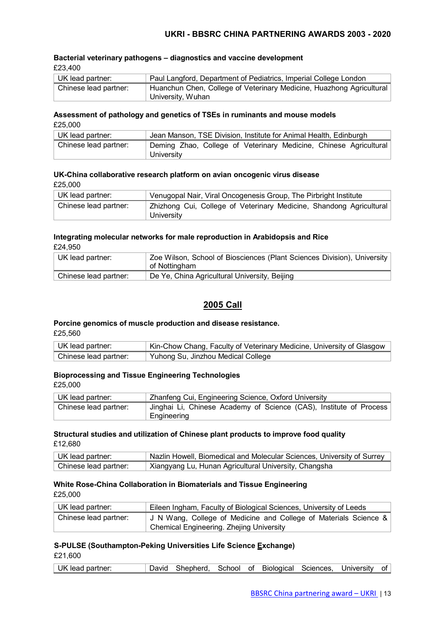#### **Bacterial veterinary pathogens – diagnostics and vaccine development** £23,400

| UK lead partner:      | Paul Langford, Department of Pediatrics, Imperial College London                          |
|-----------------------|-------------------------------------------------------------------------------------------|
| Chinese lead partner: | Huanchun Chen, College of Veterinary Medicine, Huazhong Agricultural<br>University, Wuhan |

#### **Assessment of pathology and genetics of TSEs in ruminants and mouse models** £25,000

| ∣ UK lead partner:    | Jean Manson, TSE Division, Institute for Animal Health, Edinburgh |
|-----------------------|-------------------------------------------------------------------|
| Chinese lead partner: | Deming Zhao, College of Veterinary Medicine, Chinese Agricultural |
|                       | University                                                        |

#### **UK-China collaborative research platform on avian oncogenic virus disease** £25,000

| UK lead partner:      | Venugopal Nair, Viral Oncogenesis Group, The Pirbright Institute                  |
|-----------------------|-----------------------------------------------------------------------------------|
| Chinese lead partner: | Zhizhong Cui, College of Veterinary Medicine, Shandong Agricultural<br>University |

#### **Integrating molecular networks for male reproduction in Arabidopsis and Rice** £24,950

UK lead partner: <br> Zoe Wilson, School of Biosciences (Plant Sciences Division), University of Nottingham Chinese lead partner: De Ye, China Agricultural University, Beijing

# **2005 Call**

# **Porcine genomics of muscle production and disease resistance.**

£25,560

| UK lead partner:      | Kin-Chow Chang, Faculty of Veterinary Medicine, University of Glasgow |
|-----------------------|-----------------------------------------------------------------------|
| Chinese lead partner: | <sup>1</sup> Yuhong Su, Jinzhou Medical College                       |

# **Bioprocessing and Tissue Engineering Technologies**

£25,000

| ∣ UK lead partner:    | Zhanfeng Cui, Engineering Science, Oxford University                              |  |  |  |  |  |  |
|-----------------------|-----------------------------------------------------------------------------------|--|--|--|--|--|--|
| Chinese lead partner: | Jinghai Li, Chinese Academy of Science (CAS), Institute of Process<br>Engineering |  |  |  |  |  |  |

#### **Structural studies and utilization of Chinese plant products to improve food quality** £12,680

| UK lead partner:        | <b>Nazlin Howell, Biomedical and Molecular Sciences, University of Surrey</b> |
|-------------------------|-------------------------------------------------------------------------------|
| ∣ Chinese lead partner: | Xiangyang Lu, Hunan Agricultural University, Changsha                         |

# **White Rose-China Collaboration in Biomaterials and Tissue Engineering**

£25,000

| UK lead partner:      | Eileen Ingham, Faculty of Biological Sciences, University of Leeds |  |  |  |  |  |  |  |
|-----------------------|--------------------------------------------------------------------|--|--|--|--|--|--|--|
| Chinese lead partner: | J N Wang, College of Medicine and College of Materials Science &   |  |  |  |  |  |  |  |
|                       | <b>Chemical Engineering. Zhejing University</b>                    |  |  |  |  |  |  |  |

# **S-PULSE (Southampton-Peking Universities Life Science Exchange)**

£21,600

| UK lead partner: |  | David Shepherd, School of Biological Sciences, University of |  |  |  |  |  |  |
|------------------|--|--------------------------------------------------------------|--|--|--|--|--|--|
|------------------|--|--------------------------------------------------------------|--|--|--|--|--|--|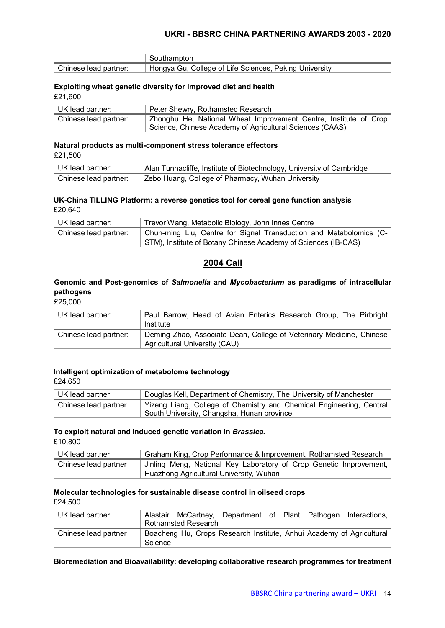|                       | Southampton                                            |
|-----------------------|--------------------------------------------------------|
| Chinese lead partner: | Hongya Gu, College of Life Sciences, Peking University |

#### **Exploiting wheat genetic diversity for improved diet and health**

£21,600

| UK lead partner:      | Peter Shewry, Rothamsted Research                                |  |  |  |  |  |  |
|-----------------------|------------------------------------------------------------------|--|--|--|--|--|--|
| Chinese lead partner: | Zhonghu He, National Wheat Improvement Centre, Institute of Crop |  |  |  |  |  |  |
|                       | Science, Chinese Academy of Agricultural Sciences (CAAS)         |  |  |  |  |  |  |

#### **Natural products as multi-component stress tolerance effectors** £21,500

| UK lead partner:                    | Alan Tunnacliffe, Institute of Biotechnology, University of Cambridge |
|-------------------------------------|-----------------------------------------------------------------------|
| <sup>⊦</sup> Chinese lead partner:_ | Zebo Huang, College of Pharmacy, Wuhan University                     |

#### **UK-China TILLING Platform: a reverse genetics tool for cereal gene function analysis** £20,640

| UK lead partner:      | Trevor Wang, Metabolic Biology, John Innes Centre                  |  |  |  |  |  |
|-----------------------|--------------------------------------------------------------------|--|--|--|--|--|
| Chinese lead partner: | Chun-ming Liu, Centre for Signal Transduction and Metabolomics (C- |  |  |  |  |  |
|                       | STM), Institute of Botany Chinese Academy of Sciences (IB-CAS)     |  |  |  |  |  |

### **2004 Call**

#### **Genomic and Post-genomics of** *Salmonella* **and** *Mycobacterium* **as paradigms of intracellular pathogens**

£25,000

| UK lead partner:      | Paul Barrow, Head of Avian Enterics Research Group, The Pirbright<br>Institute                        |
|-----------------------|-------------------------------------------------------------------------------------------------------|
| Chinese lead partner: | Deming Zhao, Associate Dean, College of Veterinary Medicine, Chinese<br>Agricultural University (CAU) |

#### **Intelligent optimization of metabolome technology**

£24,650

| UK lead partner      | Douglas Kell, Department of Chemistry, The University of Manchester                                                |  |  |  |  |
|----------------------|--------------------------------------------------------------------------------------------------------------------|--|--|--|--|
| Chinese lead partner | Yizeng Liang, College of Chemistry and Chemical Engineering, Central<br>South University, Changsha, Hunan province |  |  |  |  |

# **To exploit natural and induced genetic variation in** *Brassica***.**

£10,800

| UK lead partner      | Graham King, Crop Performance & Improvement, Rothamsted Research   |  |  |  |  |  |
|----------------------|--------------------------------------------------------------------|--|--|--|--|--|
| Chinese lead partner | Jinling Meng, National Key Laboratory of Crop Genetic Improvement, |  |  |  |  |  |
|                      | Huazhong Agricultural University, Wuhan                            |  |  |  |  |  |

# **Molecular technologies for sustainable disease control in oilseed crops**

£24,500

| UK lead partner      |         | <b>Rothamsted Research</b> |  |  | Alastair McCartney, Department of Plant Pathogen Interactions,       |
|----------------------|---------|----------------------------|--|--|----------------------------------------------------------------------|
| Chinese lead partner | Science |                            |  |  | Boacheng Hu, Crops Research Institute, Anhui Academy of Agricultural |

#### **Bioremediation and Bioavailability: developing collaborative research programmes for treatment**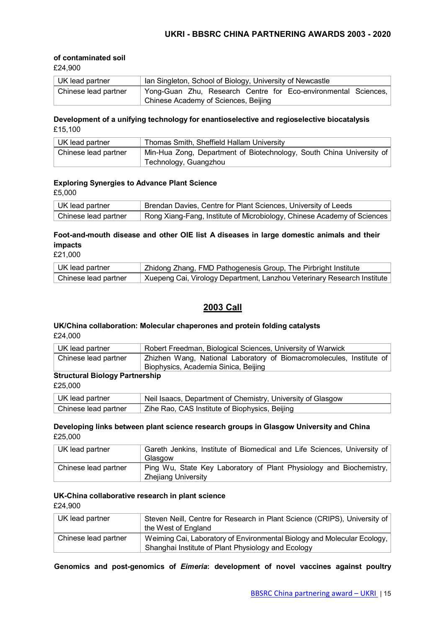#### **of contaminated soil**

£24,900

| UK lead partner      | Ian Singleton, School of Biology, University of Newcastle      |
|----------------------|----------------------------------------------------------------|
| Chinese lead partner | Yong-Guan Zhu, Research Centre for Eco-environmental Sciences, |
|                      | Chinese Academy of Sciences, Beijing                           |

#### **Development of a unifying technology for enantioselective and regioselective biocatalysis** £15,100

| UK lead partner      | Thomas Smith, Sheffield Hallam University                                                     |
|----------------------|-----------------------------------------------------------------------------------------------|
| Chinese lead partner | Min-Hua Zong, Department of Biotechnology, South China University of<br>Technology, Guangzhou |

#### **Exploring Synergies to Advance Plant Science**

£5,000

| ∣ UK lead partner    | Brendan Davies, Centre for Plant Sciences, University of Leeds          |
|----------------------|-------------------------------------------------------------------------|
| Chinese lead partner | Rong Xiang-Fang, Institute of Microbiology, Chinese Academy of Sciences |

# **Foot-and-mouth disease and other OIE list A diseases in large domestic animals and their impacts**

£21,000

| ∣ UK lead partner    | Zhidong Zhang, FMD Pathogenesis Group, The Pirbright Institute          |
|----------------------|-------------------------------------------------------------------------|
| Chinese lead partner | Xuepeng Cai, Virology Department, Lanzhou Veterinary Research Institute |

# **2003 Call**

#### **UK/China collaboration: Molecular chaperones and protein folding catalysts** £24,000

| ∣ UK lead partner    | Robert Freedman, Biological Sciences, University of Warwick                                                  |
|----------------------|--------------------------------------------------------------------------------------------------------------|
| Chinese lead partner | Zhizhen Wang, National Laboratory of Biomacromolecules, Institute of<br>Biophysics, Academia Sinica, Beijing |
|                      |                                                                                                              |

# **Structural Biology Partnership**

£25,000

| UK lead partner      | Neil Isaacs, Department of Chemistry, University of Glasgow |
|----------------------|-------------------------------------------------------------|
| Chinese lead partner | Zihe Rao, CAS Institute of Biophysics, Beijing              |

#### **Developing links between plant science research groups in Glasgow University and China** £25,000

| UK lead partner      | Gareth Jenkins, Institute of Biomedical and Life Sciences, University of<br>Glasgow        |
|----------------------|--------------------------------------------------------------------------------------------|
| Chinese lead partner | Ping Wu, State Key Laboratory of Plant Physiology and Biochemistry,<br>Zheijang University |

#### **UK-China collaborative research in plant science** £24,900

| UK lead partner      | Steven Neill, Centre for Research in Plant Science (CRIPS), University of<br>the West of England                              |
|----------------------|-------------------------------------------------------------------------------------------------------------------------------|
| Chinese lead partner | Weiming Cai, Laboratory of Environmental Biology and Molecular Ecology,<br>Shanghai Institute of Plant Physiology and Ecology |

**Genomics and post-genomics of** *Eimeria***: development of novel vaccines against poultry**